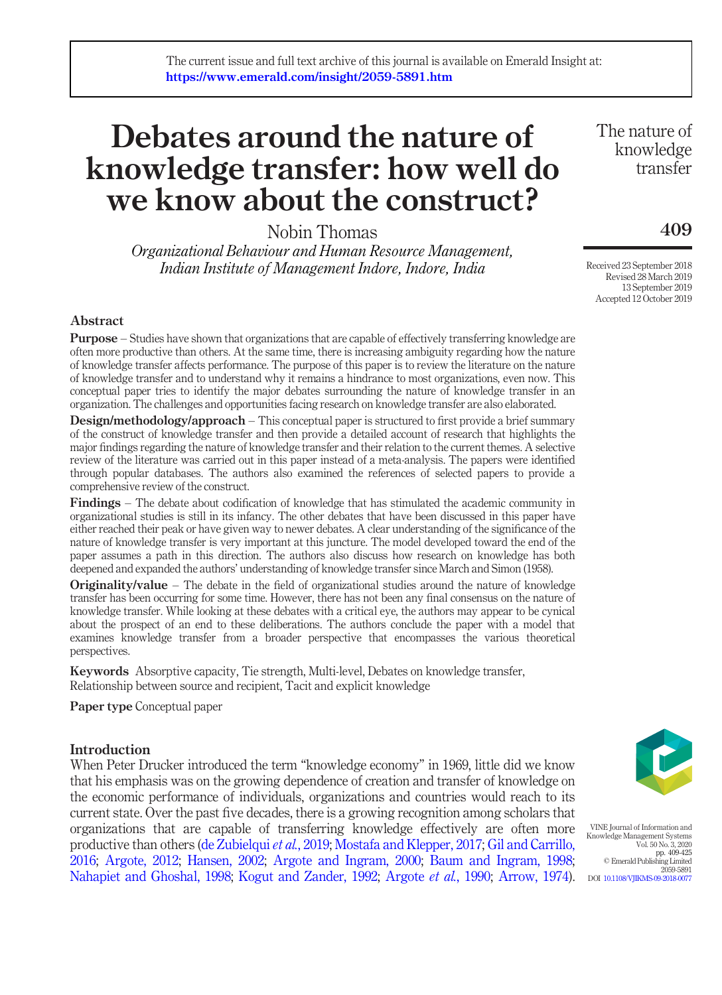# Debates around the nature of knowledge transfer: how well do we know about the construct?

Nobin Thomas

*Organizational Behaviour and Human Resource Management, Indian Institute of Management Indore, Indore, India*

The nature of knowledge transfer

# 409

Received 23 September 2018 Revised 28 March 2019 13 September 2019 Accepted 12 October 2019

# Abstract

Purpose – Studies have shown that organizations that are capable of effectively transferring knowledge are often more productive than others. At the same time, there is increasing ambiguity regarding how the nature of knowledge transfer affects performance. The purpose of this paper is to review the literature on the nature of knowledge transfer and to understand why it remains a hindrance to most organizations, even now. This conceptual paper tries to identify the major debates surrounding the nature of knowledge transfer in an organization. The challenges and opportunities facing research on knowledge transfer are also elaborated.

**Design/methodology/approach** – This conceptual paper is structured to first provide a brief summary of the construct of knowledge transfer and then provide a detailed account of research that highlights the major findings regarding the nature of knowledge transfer and their relation to the current themes. A selective review of the literature was carried out in this paper instead of a meta-analysis. The papers were identified through popular databases. The authors also examined the references of selected papers to provide a comprehensive review of the construct.

Findings – The debate about codification of knowledge that has stimulated the academic community in organizational studies is still in its infancy. The other debates that have been discussed in this paper have either reached their peak or have given way to newer debates. A clear understanding of the significance of the nature of knowledge transfer is very important at this juncture. The model developed toward the end of the paper assumes a path in this direction. The authors also discuss how research on knowledge has both deepened and expanded the authors' understanding of knowledge transfer since March and Simon (1958).

Originality/value – The debate in the field of organizational studies around the nature of knowledge transfer has been occurring for some time. However, there has not been any final consensus on the nature of knowledge transfer. While looking at these debates with a critical eye, the authors may appear to be cynical about the prospect of an end to these deliberations. The authors conclude the paper with a model that examines knowledge transfer from a broader perspective that encompasses the various theoretical perspectives.

Keywords Absorptive capacity, Tie strength, Multi-level, Debates on knowledge transfer, Relationship between source and recipient, Tacit and explicit knowledge

Paper type Conceptual paper

# **Introduction**

When Peter Drucker introduced the term "knowledge economy" in 1969, little did we know that his emphasis was on the growing dependence of creation and transfer of knowledge on the economic performance of individuals, organizations and countries would reach to its current state. Over the past five decades, there is a growing recognition among scholars that organizations that are capable of transferring knowledge effectively are often more productive than others (de Zubielqui *et al.*, 2019; Mostafa and Klepper, 2017; Gil and Carrillo, 2016; Argote, 2012; Hansen, 2002; Argote and Ingram, 2000; Baum and Ingram, 1998; Nahapiet and Ghoshal, 1998; Kogut and Zander, 1992; Argote *et al.*, 1990; Arrow, 1974).



VINE Journal of Information and Knowledge Management System Vol. 50 No. 3, 2020 pp. 409-425 © Emerald Publishing Limited 2059-5891 DOI 10.1108/VJIKMS-09-2018-0077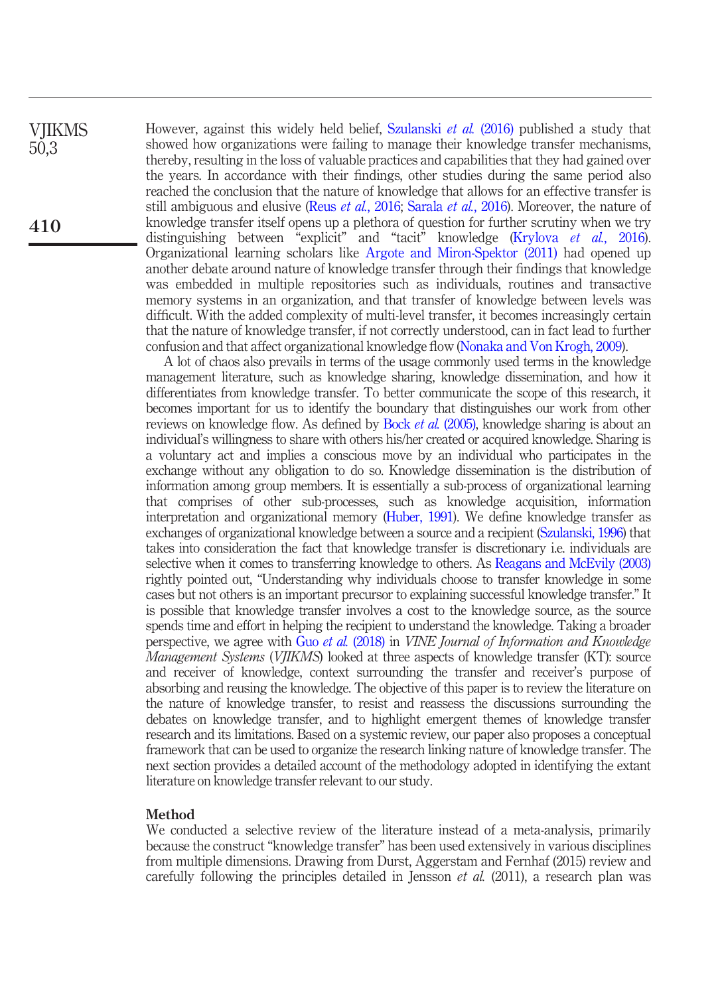However, against this widely held belief, Szulanski *et al.* (2016) published a study that showed how organizations were failing to manage their knowledge transfer mechanisms, thereby, resulting in the loss of valuable practices and capabilities that they had gained over the years. In accordance with their findings, other studies during the same period also reached the conclusion that the nature of knowledge that allows for an effective transfer is still ambiguous and elusive (Reus *et al.*, 2016; Sarala *et al.*, 2016). Moreover, the nature of knowledge transfer itself opens up a plethora of question for further scrutiny when we try distinguishing between "explicit" and "tacit" knowledge (Krylova *et al.*, 2016). Organizational learning scholars like Argote and Miron-Spektor (2011) had opened up another debate around nature of knowledge transfer through their findings that knowledge was embedded in multiple repositories such as individuals, routines and transactive memory systems in an organization, and that transfer of knowledge between levels was difficult. With the added complexity of multi-level transfer, it becomes increasingly certain that the nature of knowledge transfer, if not correctly understood, can in fact lead to further confusion and that affect organizational knowledge flow (Nonaka and Von Krogh, 2009).

A lot of chaos also prevails in terms of the usage commonly used terms in the knowledge management literature, such as knowledge sharing, knowledge dissemination, and how it differentiates from knowledge transfer. To better communicate the scope of this research, it becomes important for us to identify the boundary that distinguishes our work from other reviews on knowledge flow. As defined by Bock *et al.* (2005), knowledge sharing is about an individual's willingness to share with others his/her created or acquired knowledge. Sharing is a voluntary act and implies a conscious move by an individual who participates in the exchange without any obligation to do so. Knowledge dissemination is the distribution of information among group members. It is essentially a sub-process of organizational learning that comprises of other sub-processes, such as knowledge acquisition, information interpretation and organizational memory (Huber, 1991). We define knowledge transfer as exchanges of organizational knowledge between a source and a recipient (Szulanski, 1996) that takes into consideration the fact that knowledge transfer is discretionary i.e. individuals are selective when it comes to transferring knowledge to others. As Reagans and McEvily (2003) rightly pointed out, "Understanding why individuals choose to transfer knowledge in some cases but not others is an important precursor to explaining successful knowledge transfer." It is possible that knowledge transfer involves a cost to the knowledge source, as the source spends time and effort in helping the recipient to understand the knowledge. Taking a broader perspective, we agree with Guo *et al.* (2018) in *VINE Journal of Information and Knowledge Management Systems* (*VJIKMS*) looked at three aspects of knowledge transfer (KT): source and receiver of knowledge, context surrounding the transfer and receiver's purpose of absorbing and reusing the knowledge. The objective of this paper is to review the literature on the nature of knowledge transfer, to resist and reassess the discussions surrounding the debates on knowledge transfer, and to highlight emergent themes of knowledge transfer research and its limitations. Based on a systemic review, our paper also proposes a conceptual framework that can be used to organize the research linking nature of knowledge transfer. The next section provides a detailed account of the methodology adopted in identifying the extant literature on knowledge transfer relevant to our study.

# Method

We conducted a selective review of the literature instead of a meta-analysis, primarily because the construct "knowledge transfer" has been used extensively in various disciplines from multiple dimensions. Drawing from Durst, Aggerstam and Fernhaf (2015) review and carefully following the principles detailed in Jensson *et al.* (2011), a research plan was

**VIIKMS** 50,3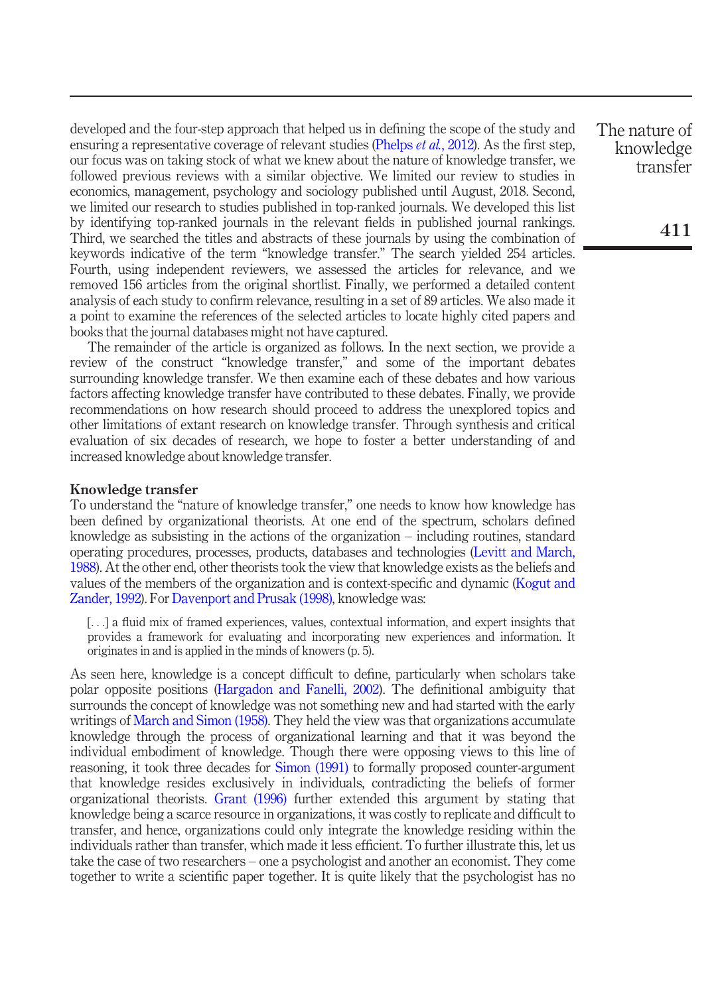developed and the four-step approach that helped us in defining the scope of the study and ensuring a representative coverage of relevant studies (Phelps *et al.*, 2012). As the first step, our focus was on taking stock of what we knew about the nature of knowledge transfer, we followed previous reviews with a similar objective. We limited our review to studies in economics, management, psychology and sociology published until August, 2018. Second, we limited our research to studies published in top-ranked journals. We developed this list by identifying top-ranked journals in the relevant fields in published journal rankings. Third, we searched the titles and abstracts of these journals by using the combination of keywords indicative of the term "knowledge transfer." The search yielded 254 articles. Fourth, using independent reviewers, we assessed the articles for relevance, and we removed 156 articles from the original shortlist. Finally, we performed a detailed content analysis of each study to confirm relevance, resulting in a set of 89 articles. We also made it a point to examine the references of the selected articles to locate highly cited papers and books that the journal databases might not have captured.

The remainder of the article is organized as follows. In the next section, we provide a review of the construct "knowledge transfer," and some of the important debates surrounding knowledge transfer. We then examine each of these debates and how various factors affecting knowledge transfer have contributed to these debates. Finally, we provide recommendations on how research should proceed to address the unexplored topics and other limitations of extant research on knowledge transfer. Through synthesis and critical evaluation of six decades of research, we hope to foster a better understanding of and increased knowledge about knowledge transfer.

#### Knowledge transfer

To understand the "nature of knowledge transfer," one needs to know how knowledge has been defined by organizational theorists. At one end of the spectrum, scholars defined knowledge as subsisting in the actions of the organization – including routines, standard operating procedures, processes, products, databases and technologies (Levitt and March, 1988). At the other end, other theorists took the view that knowledge exists as the beliefs and values of the members of the organization and is context-specific and dynamic (Kogut and Zander, 1992). For Davenport and Prusak (1998), knowledge was:

[...] a fluid mix of framed experiences, values, contextual information, and expert insights that provides a framework for evaluating and incorporating new experiences and information. It originates in and is applied in the minds of knowers (p. 5).

As seen here, knowledge is a concept difficult to define, particularly when scholars take polar opposite positions (Hargadon and Fanelli, 2002). The definitional ambiguity that surrounds the concept of knowledge was not something new and had started with the early writings of March and Simon (1958). They held the view was that organizations accumulate knowledge through the process of organizational learning and that it was beyond the individual embodiment of knowledge. Though there were opposing views to this line of reasoning, it took three decades for Simon (1991) to formally proposed counter-argument that knowledge resides exclusively in individuals, contradicting the beliefs of former organizational theorists. Grant (1996) further extended this argument by stating that knowledge being a scarce resource in organizations, it was costly to replicate and difficult to transfer, and hence, organizations could only integrate the knowledge residing within the individuals rather than transfer, which made it less efficient. To further illustrate this, let us take the case of two researchers – one a psychologist and another an economist. They come together to write a scientific paper together. It is quite likely that the psychologist has no The nature of knowledge transfer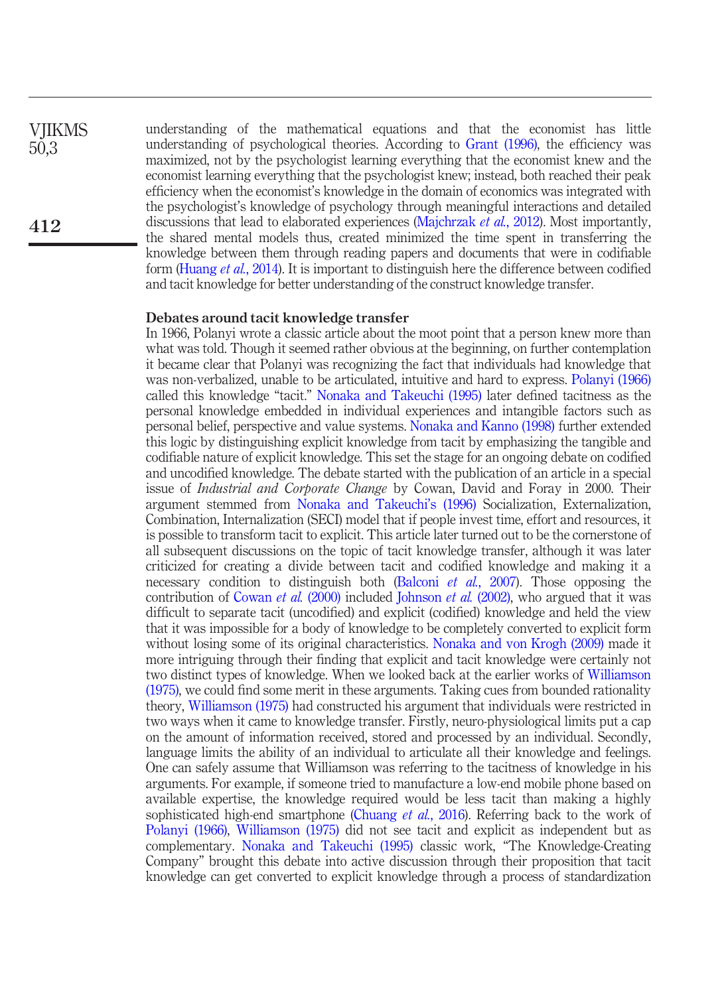understanding of the mathematical equations and that the economist has little understanding of psychological theories. According to Grant (1996), the efficiency was maximized, not by the psychologist learning everything that the economist knew and the economist learning everything that the psychologist knew; instead, both reached their peak efficiency when the economist's knowledge in the domain of economics was integrated with the psychologist's knowledge of psychology through meaningful interactions and detailed discussions that lead to elaborated experiences (Majchrzak *et al.*, 2012). Most importantly, the shared mental models thus, created minimized the time spent in transferring the knowledge between them through reading papers and documents that were in codifiable form (Huang *et al.*, 2014). It is important to distinguish here the difference between codified and tacit knowledge for better understanding of the construct knowledge transfer.

#### Debates around tacit knowledge transfer

In 1966, Polanyi wrote a classic article about the moot point that a person knew more than what was told. Though it seemed rather obvious at the beginning, on further contemplation it became clear that Polanyi was recognizing the fact that individuals had knowledge that was non-verbalized, unable to be articulated, intuitive and hard to express. Polanyi (1966) called this knowledge "tacit." Nonaka and Takeuchi (1995) later defined tacitness as the personal knowledge embedded in individual experiences and intangible factors such as personal belief, perspective and value systems. Nonaka and Kanno (1998) further extended this logic by distinguishing explicit knowledge from tacit by emphasizing the tangible and codifiable nature of explicit knowledge. This set the stage for an ongoing debate on codified and uncodified knowledge. The debate started with the publication of an article in a special issue of *Industrial and Corporate Change* by Cowan, David and Foray in 2000. Their argument stemmed from Nonaka and Takeuchi's (1996) Socialization, Externalization, Combination, Internalization (SECI) model that if people invest time, effort and resources, it is possible to transform tacit to explicit. This article later turned out to be the cornerstone of all subsequent discussions on the topic of tacit knowledge transfer, although it was later criticized for creating a divide between tacit and codified knowledge and making it a necessary condition to distinguish both (Balconi *et al.*, 2007). Those opposing the contribution of Cowan *et al.* (2000) included Johnson *et al.* (2002), who argued that it was difficult to separate tacit (uncodified) and explicit (codified) knowledge and held the view that it was impossible for a body of knowledge to be completely converted to explicit form without losing some of its original characteristics. Nonaka and von Krogh (2009) made it more intriguing through their finding that explicit and tacit knowledge were certainly not two distinct types of knowledge. When we looked back at the earlier works of Williamson (1975), we could find some merit in these arguments. Taking cues from bounded rationality theory, Williamson (1975) had constructed his argument that individuals were restricted in two ways when it came to knowledge transfer. Firstly, neuro-physiological limits put a cap on the amount of information received, stored and processed by an individual. Secondly, language limits the ability of an individual to articulate all their knowledge and feelings. One can safely assume that Williamson was referring to the tacitness of knowledge in his arguments. For example, if someone tried to manufacture a low-end mobile phone based on available expertise, the knowledge required would be less tacit than making a highly sophisticated high-end smartphone (Chuang *et al.*, 2016). Referring back to the work of Polanyi (1966), Williamson (1975) did not see tacit and explicit as independent but as complementary. Nonaka and Takeuchi (1995) classic work, "The Knowledge-Creating Company" brought this debate into active discussion through their proposition that tacit knowledge can get converted to explicit knowledge through a process of standardization

**VIIKMS** 50,3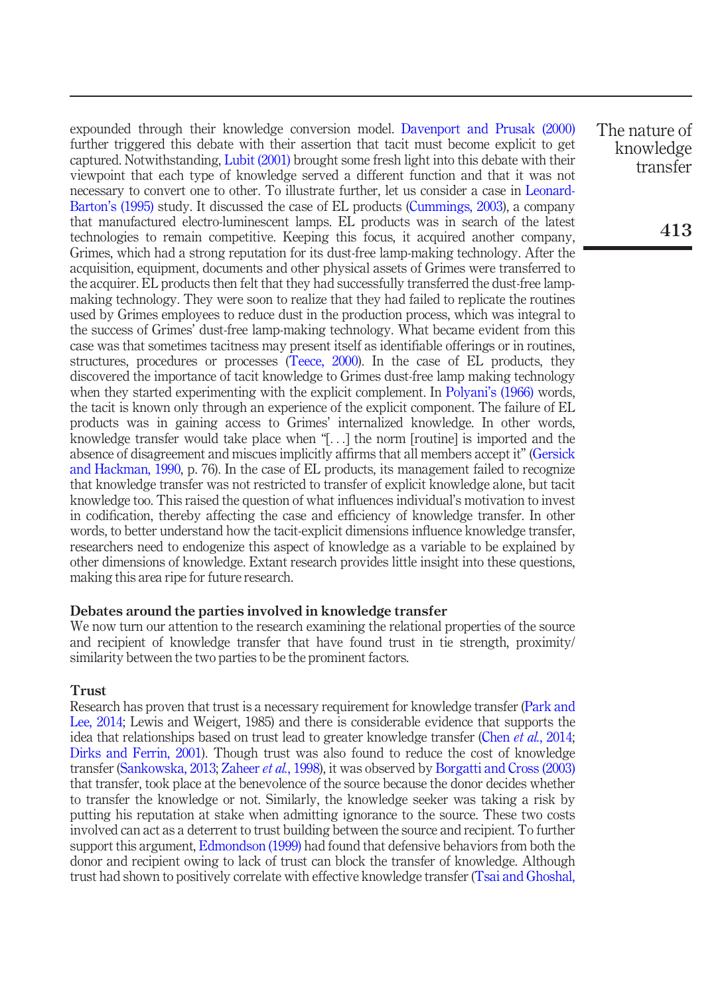expounded through their knowledge conversion model. Davenport and Prusak (2000) further triggered this debate with their assertion that tacit must become explicit to get captured. Notwithstanding, Lubit (2001) brought some fresh light into this debate with their viewpoint that each type of knowledge served a different function and that it was not necessary to convert one to other. To illustrate further, let us consider a case in Leonard-Barton's (1995) study. It discussed the case of EL products (Cummings, 2003), a company that manufactured electro-luminescent lamps. EL products was in search of the latest technologies to remain competitive. Keeping this focus, it acquired another company, Grimes, which had a strong reputation for its dust-free lamp-making technology. After the acquisition, equipment, documents and other physical assets of Grimes were transferred to the acquirer. EL products then felt that they had successfully transferred the dust-free lampmaking technology. They were soon to realize that they had failed to replicate the routines used by Grimes employees to reduce dust in the production process, which was integral to the success of Grimes' dust-free lamp-making technology. What became evident from this case was that sometimes tacitness may present itself as identifiable offerings or in routines, structures, procedures or processes (Teece, 2000). In the case of EL products, they discovered the importance of tacit knowledge to Grimes dust-free lamp making technology when they started experimenting with the explicit complement. In Polyani's (1966) words, the tacit is known only through an experience of the explicit component. The failure of EL products was in gaining access to Grimes' internalized knowledge. In other words, knowledge transfer would take place when "[...] the norm [routine] is imported and the absence of disagreement and miscues implicitly affirms that all members accept it" (Gersick and Hackman, 1990, p. 76). In the case of EL products, its management failed to recognize that knowledge transfer was not restricted to transfer of explicit knowledge alone, but tacit knowledge too. This raised the question of what influences individual's motivation to invest in codification, thereby affecting the case and efficiency of knowledge transfer. In other words, to better understand how the tacit-explicit dimensions influence knowledge transfer, researchers need to endogenize this aspect of knowledge as a variable to be explained by other dimensions of knowledge. Extant research provides little insight into these questions, making this area ripe for future research.

#### Debates around the parties involved in knowledge transfer

We now turn our attention to the research examining the relational properties of the source and recipient of knowledge transfer that have found trust in tie strength, proximity/ similarity between the two parties to be the prominent factors.

# Trust

Research has proven that trust is a necessary requirement for knowledge transfer (Park and Lee, 2014; Lewis and Weigert, 1985) and there is considerable evidence that supports the idea that relationships based on trust lead to greater knowledge transfer (Chen *et al.*, 2014; Dirks and Ferrin, 2001). Though trust was also found to reduce the cost of knowledge transfer (Sankowska, 2013; Zaheer *et al.*, 1998), it was observed by Borgatti and Cross (2003) that transfer, took place at the benevolence of the source because the donor decides whether to transfer the knowledge or not. Similarly, the knowledge seeker was taking a risk by putting his reputation at stake when admitting ignorance to the source. These two costs involved can act as a deterrent to trust building between the source and recipient. To further support this argument, Edmondson (1999) had found that defensive behaviors from both the donor and recipient owing to lack of trust can block the transfer of knowledge. Although trust had shown to positively correlate with effective knowledge transfer (Tsai and Ghoshal, The nature of knowledge transfer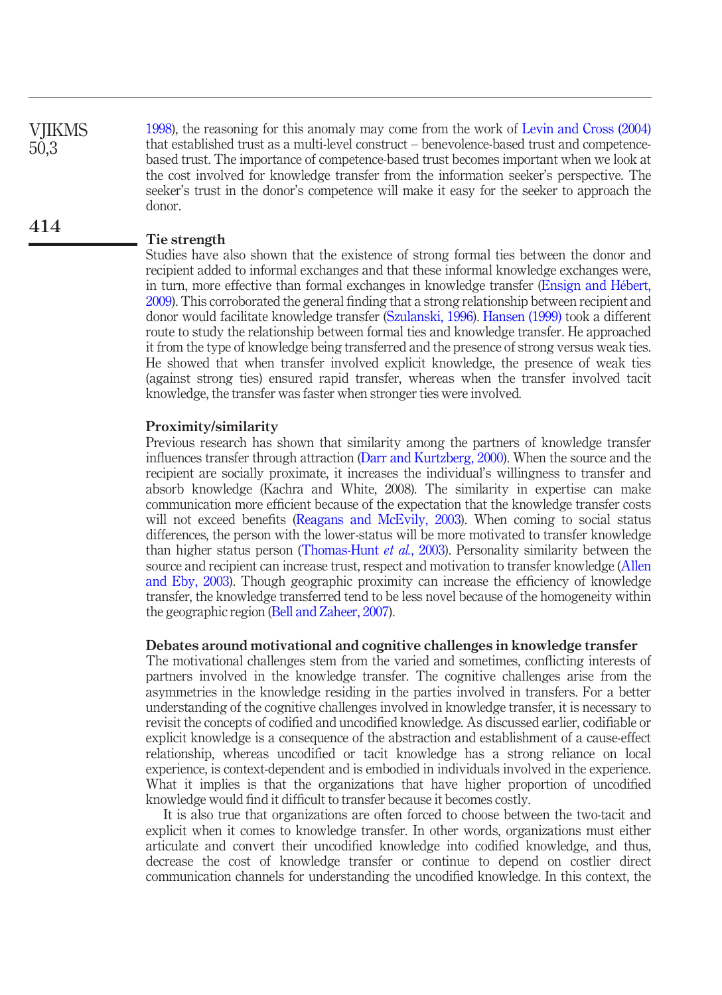1998), the reasoning for this anomaly may come from the work of Levin and Cross (2004) that established trust as a multi-level construct – benevolence-based trust and competencebased trust. The importance of competence-based trust becomes important when we look at the cost involved for knowledge transfer from the information seeker's perspective. The seeker's trust in the donor's competence will make it easy for the seeker to approach the donor. VJIKMS 50,3

# Tie strength

414

Studies have also shown that the existence of strong formal ties between the donor and recipient added to informal exchanges and that these informal knowledge exchanges were, in turn, more effective than formal exchanges in knowledge transfer (Ensign and Hébert, 2009). This corroborated the general finding that a strong relationship between recipient and donor would facilitate knowledge transfer (Szulanski, 1996). Hansen (1999) took a different route to study the relationship between formal ties and knowledge transfer. He approached it from the type of knowledge being transferred and the presence of strong versus weak ties. He showed that when transfer involved explicit knowledge, the presence of weak ties (against strong ties) ensured rapid transfer, whereas when the transfer involved tacit knowledge, the transfer was faster when stronger ties were involved.

# Proximity/similarity

Previous research has shown that similarity among the partners of knowledge transfer influences transfer through attraction (Darr and Kurtzberg, 2000). When the source and the recipient are socially proximate, it increases the individual's willingness to transfer and absorb knowledge (Kachra and White, 2008). The similarity in expertise can make communication more efficient because of the expectation that the knowledge transfer costs will not exceed benefits (Reagans and McEvily, 2003). When coming to social status differences, the person with the lower-status will be more motivated to transfer knowledge than higher status person (Thomas-Hunt *et al.*, 2003). Personality similarity between the source and recipient can increase trust, respect and motivation to transfer knowledge (Allen and Eby, 2003). Though geographic proximity can increase the efficiency of knowledge transfer, the knowledge transferred tend to be less novel because of the homogeneity within the geographic region (Bell and Zaheer, 2007).

# Debates around motivational and cognitive challenges in knowledge transfer

The motivational challenges stem from the varied and sometimes, conflicting interests of partners involved in the knowledge transfer. The cognitive challenges arise from the asymmetries in the knowledge residing in the parties involved in transfers. For a better understanding of the cognitive challenges involved in knowledge transfer, it is necessary to revisit the concepts of codified and uncodified knowledge. As discussed earlier, codifiable or explicit knowledge is a consequence of the abstraction and establishment of a cause-effect relationship, whereas uncodified or tacit knowledge has a strong reliance on local experience, is context-dependent and is embodied in individuals involved in the experience. What it implies is that the organizations that have higher proportion of uncodified knowledge would find it difficult to transfer because it becomes costly.

It is also true that organizations are often forced to choose between the two-tacit and explicit when it comes to knowledge transfer. In other words, organizations must either articulate and convert their uncodified knowledge into codified knowledge, and thus, decrease the cost of knowledge transfer or continue to depend on costlier direct communication channels for understanding the uncodified knowledge. In this context, the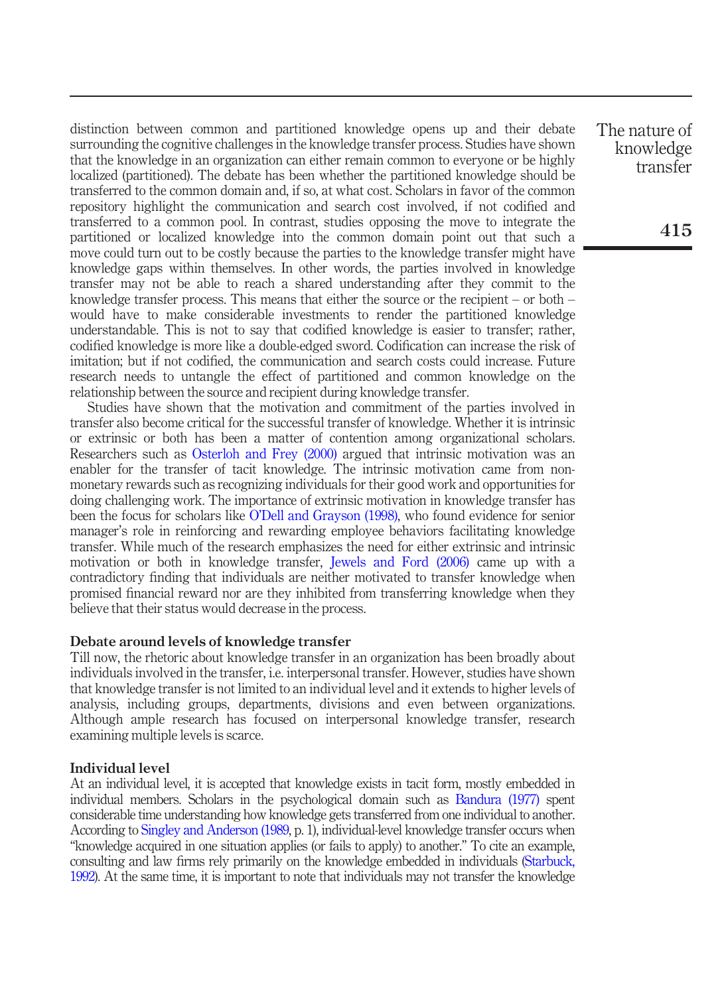distinction between common and partitioned knowledge opens up and their debate surrounding the cognitive challenges in the knowledge transfer process. Studies have shown that the knowledge in an organization can either remain common to everyone or be highly localized (partitioned). The debate has been whether the partitioned knowledge should be transferred to the common domain and, if so, at what cost. Scholars in favor of the common repository highlight the communication and search cost involved, if not codified and transferred to a common pool. In contrast, studies opposing the move to integrate the partitioned or localized knowledge into the common domain point out that such a move could turn out to be costly because the parties to the knowledge transfer might have knowledge gaps within themselves. In other words, the parties involved in knowledge transfer may not be able to reach a shared understanding after they commit to the knowledge transfer process. This means that either the source or the recipient – or both – would have to make considerable investments to render the partitioned knowledge understandable. This is not to say that codified knowledge is easier to transfer; rather, codified knowledge is more like a double-edged sword. Codification can increase the risk of imitation; but if not codified, the communication and search costs could increase. Future research needs to untangle the effect of partitioned and common knowledge on the relationship between the source and recipient during knowledge transfer.

Studies have shown that the motivation and commitment of the parties involved in transfer also become critical for the successful transfer of knowledge. Whether it is intrinsic or extrinsic or both has been a matter of contention among organizational scholars. Researchers such as Osterloh and Frey (2000) argued that intrinsic motivation was an enabler for the transfer of tacit knowledge. The intrinsic motivation came from nonmonetary rewards such as recognizing individuals for their good work and opportunities for doing challenging work. The importance of extrinsic motivation in knowledge transfer has been the focus for scholars like O'Dell and Grayson (1998), who found evidence for senior manager's role in reinforcing and rewarding employee behaviors facilitating knowledge transfer. While much of the research emphasizes the need for either extrinsic and intrinsic motivation or both in knowledge transfer, Jewels and Ford (2006) came up with a contradictory finding that individuals are neither motivated to transfer knowledge when promised financial reward nor are they inhibited from transferring knowledge when they believe that their status would decrease in the process.

#### Debate around levels of knowledge transfer

Till now, the rhetoric about knowledge transfer in an organization has been broadly about individuals involved in the transfer, i.e. interpersonal transfer. However, studies have shown that knowledge transfer is not limited to an individual level and it extends to higher levels of analysis, including groups, departments, divisions and even between organizations. Although ample research has focused on interpersonal knowledge transfer, research examining multiple levels is scarce.

## Individual level

At an individual level, it is accepted that knowledge exists in tacit form, mostly embedded in individual members. Scholars in the psychological domain such as Bandura (1977) spent considerable time understanding how knowledge gets transferred from one individual to another. According to Singley and Anderson (1989, p. 1), individual-level knowledge transfer occurs when "knowledge acquired in one situation applies (or fails to apply) to another." To cite an example, consulting and law firms rely primarily on the knowledge embedded in individuals (Starbuck, 1992). At the same time, it is important to note that individuals may not transfer the knowledge The nature of knowledge transfer

415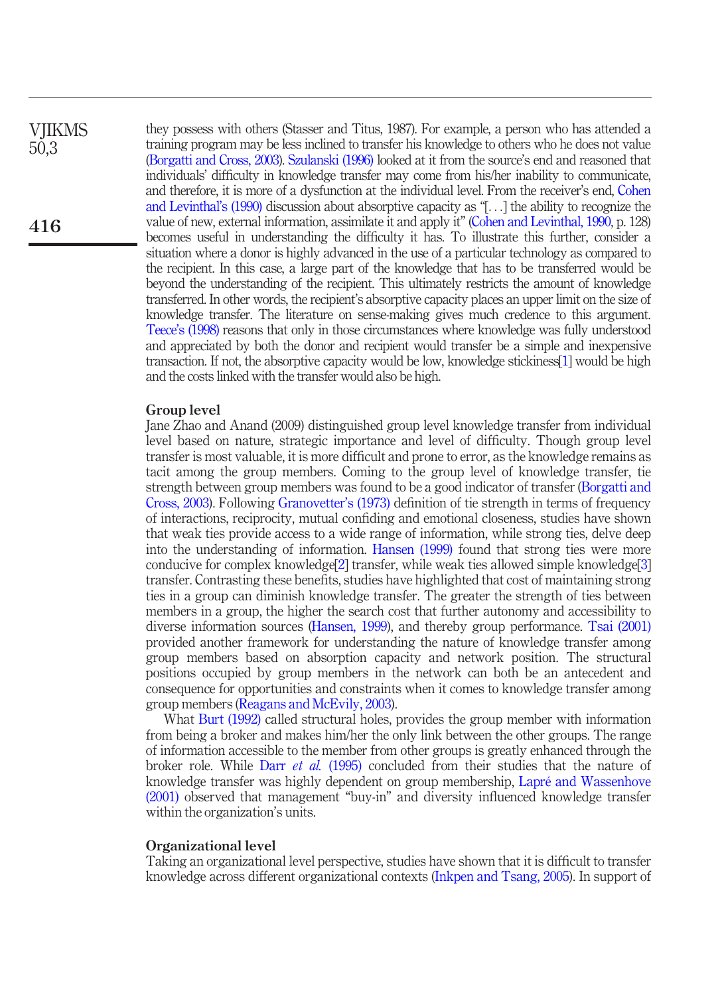**VIIKMS** 50,3

416

they possess with others (Stasser and Titus, 1987). For example, a person who has attended a training program may be less inclined to transfer his knowledge to others who he does not value (Borgatti and Cross, 2003). Szulanski (1996) looked at it from the source's end and reasoned that individuals' difficulty in knowledge transfer may come from his/her inability to communicate, and therefore, it is more of a dysfunction at the individual level. From the receiver's end, Cohen and Levinthal's (1990) discussion about absorptive capacity as "[...] the ability to recognize the value of new, external information, assimilate it and apply it" (Cohen and Levinthal, 1990, p. 128) becomes useful in understanding the difficulty it has. To illustrate this further, consider a situation where a donor is highly advanced in the use of a particular technology as compared to the recipient. In this case, a large part of the knowledge that has to be transferred would be beyond the understanding of the recipient. This ultimately restricts the amount of knowledge transferred. In other words, the recipient's absorptive capacity places an upper limit on the size of knowledge transfer. The literature on sense-making gives much credence to this argument. Teece's (1998) reasons that only in those circumstances where knowledge was fully understood and appreciated by both the donor and recipient would transfer be a simple and inexpensive transaction. If not, the absorptive capacity would be low, knowledge stickiness[1] would be high and the costs linked with the transfer would also be high.

# Group level

Jane Zhao and Anand (2009) distinguished group level knowledge transfer from individual level based on nature, strategic importance and level of difficulty. Though group level transfer is most valuable, it is more difficult and prone to error, as the knowledge remains as tacit among the group members. Coming to the group level of knowledge transfer, tie strength between group members was found to be a good indicator of transfer (Borgatti and Cross, 2003). Following Granovetter's (1973) definition of tie strength in terms of frequency of interactions, reciprocity, mutual confiding and emotional closeness, studies have shown that weak ties provide access to a wide range of information, while strong ties, delve deep into the understanding of information. Hansen (1999) found that strong ties were more conducive for complex knowledge[2] transfer, while weak ties allowed simple knowledge[3] transfer. Contrasting these benefits, studies have highlighted that cost of maintaining strong ties in a group can diminish knowledge transfer. The greater the strength of ties between members in a group, the higher the search cost that further autonomy and accessibility to diverse information sources (Hansen, 1999), and thereby group performance. Tsai (2001) provided another framework for understanding the nature of knowledge transfer among group members based on absorption capacity and network position. The structural positions occupied by group members in the network can both be an antecedent and consequence for opportunities and constraints when it comes to knowledge transfer among group members (Reagans and McEvily, 2003).

What Burt (1992) called structural holes, provides the group member with information from being a broker and makes him/her the only link between the other groups. The range of information accessible to the member from other groups is greatly enhanced through the broker role. While Darr *et al.* (1995) concluded from their studies that the nature of knowledge transfer was highly dependent on group membership, Lapré and Wassenhove (2001) observed that management "buy-in" and diversity influenced knowledge transfer within the organization's units.

#### Organizational level

Taking an organizational level perspective, studies have shown that it is difficult to transfer knowledge across different organizational contexts (Inkpen and Tsang, 2005). In support of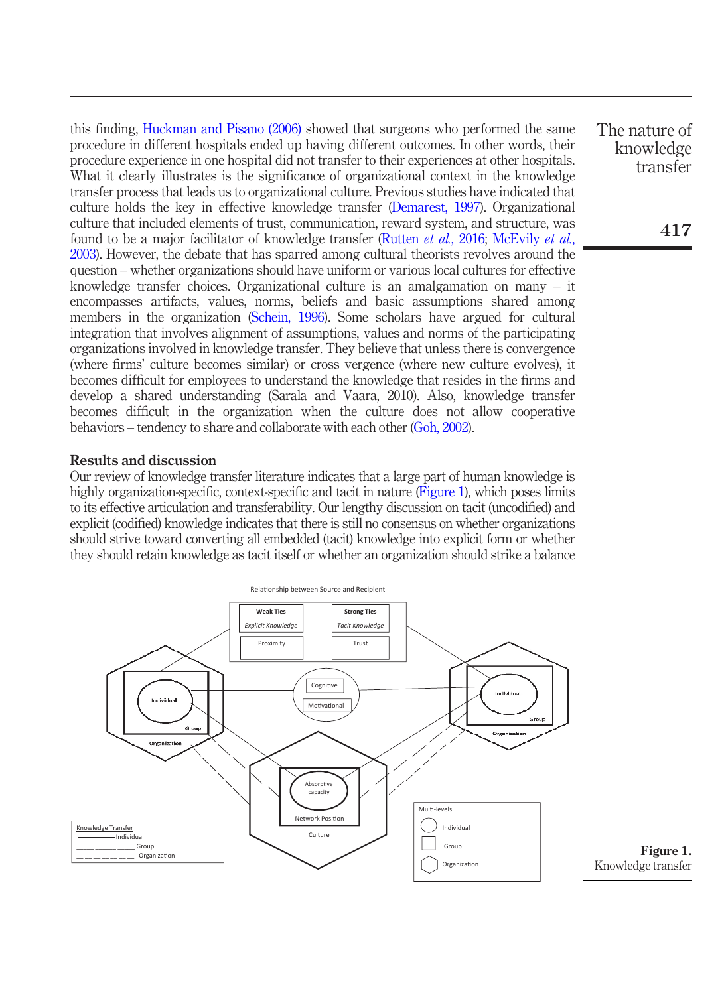this finding, Huckman and Pisano (2006) showed that surgeons who performed the same procedure in different hospitals ended up having different outcomes. In other words, their procedure experience in one hospital did not transfer to their experiences at other hospitals. What it clearly illustrates is the significance of organizational context in the knowledge transfer process that leads us to organizational culture. Previous studies have indicated that culture holds the key in effective knowledge transfer (Demarest, 1997). Organizational culture that included elements of trust, communication, reward system, and structure, was found to be a major facilitator of knowledge transfer (Rutten *et al.*, 2016; McEvily *et al.*, 2003). However, the debate that has sparred among cultural theorists revolves around the question – whether organizations should have uniform or various local cultures for effective knowledge transfer choices. Organizational culture is an amalgamation on many – it encompasses artifacts, values, norms, beliefs and basic assumptions shared among members in the organization (Schein, 1996). Some scholars have argued for cultural integration that involves alignment of assumptions, values and norms of the participating organizations involved in knowledge transfer. They believe that unless there is convergence (where firms' culture becomes similar) or cross vergence (where new culture evolves), it becomes difficult for employees to understand the knowledge that resides in the firms and develop a shared understanding (Sarala and Vaara, 2010). Also, knowledge transfer becomes difficult in the organization when the culture does not allow cooperative behaviors – tendency to share and collaborate with each other (Goh, 2002).

# Results and discussion

Our review of knowledge transfer literature indicates that a large part of human knowledge is highly organization-specific, context-specific and tacit in nature (Figure 1), which poses limits to its effective articulation and transferability. Our lengthy discussion on tacit (uncodified) and explicit (codified) knowledge indicates that there is still no consensus on whether organizations should strive toward converting all embedded (tacit) knowledge into explicit form or whether they should retain knowledge as tacit itself or whether an organization should strike a balance



The nature of knowledge transfer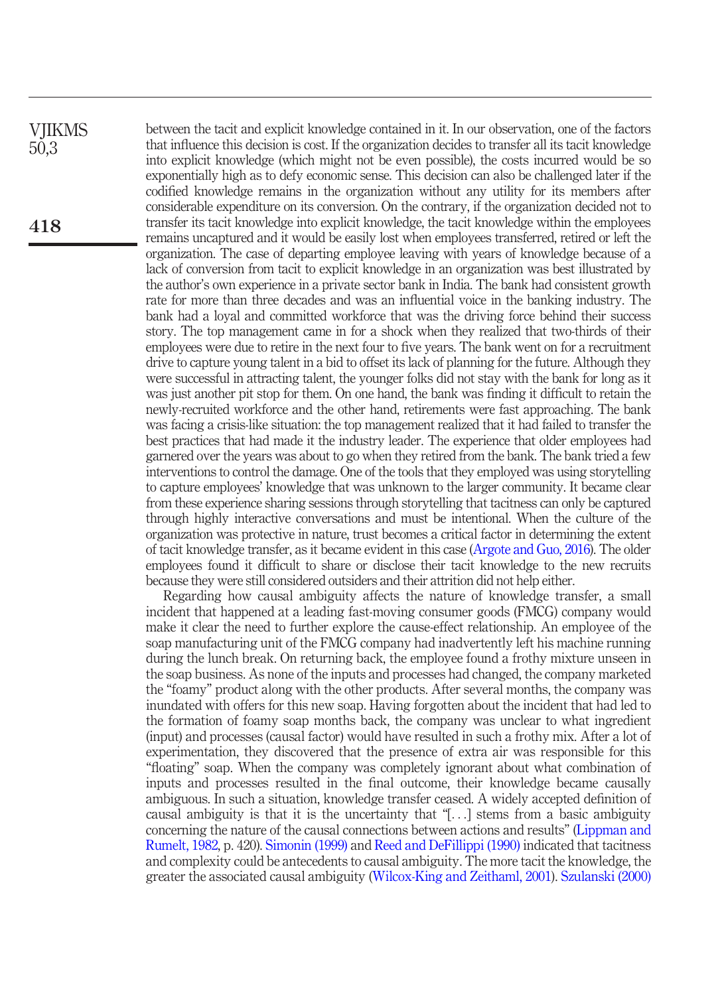between the tacit and explicit knowledge contained in it. In our observation, one of the factors that influence this decision is cost. If the organization decides to transfer all its tacit knowledge into explicit knowledge (which might not be even possible), the costs incurred would be so exponentially high as to defy economic sense. This decision can also be challenged later if the codified knowledge remains in the organization without any utility for its members after considerable expenditure on its conversion. On the contrary, if the organization decided not to transfer its tacit knowledge into explicit knowledge, the tacit knowledge within the employees remains uncaptured and it would be easily lost when employees transferred, retired or left the organization. The case of departing employee leaving with years of knowledge because of a lack of conversion from tacit to explicit knowledge in an organization was best illustrated by the author's own experience in a private sector bank in India. The bank had consistent growth rate for more than three decades and was an influential voice in the banking industry. The bank had a loyal and committed workforce that was the driving force behind their success story. The top management came in for a shock when they realized that two-thirds of their employees were due to retire in the next four to five years. The bank went on for a recruitment drive to capture young talent in a bid to offset its lack of planning for the future. Although they were successful in attracting talent, the younger folks did not stay with the bank for long as it was just another pit stop for them. On one hand, the bank was finding it difficult to retain the newly-recruited workforce and the other hand, retirements were fast approaching. The bank was facing a crisis-like situation: the top management realized that it had failed to transfer the best practices that had made it the industry leader. The experience that older employees had garnered over the years was about to go when they retired from the bank. The bank tried a few interventions to control the damage. One of the tools that they employed was using storytelling to capture employees' knowledge that was unknown to the larger community. It became clear from these experience sharing sessions through storytelling that tacitness can only be captured through highly interactive conversations and must be intentional. When the culture of the organization was protective in nature, trust becomes a critical factor in determining the extent of tacit knowledge transfer, as it became evident in this case (Argote and Guo, 2016). The older employees found it difficult to share or disclose their tacit knowledge to the new recruits because they were still considered outsiders and their attrition did not help either.

Regarding how causal ambiguity affects the nature of knowledge transfer, a small incident that happened at a leading fast-moving consumer goods (FMCG) company would make it clear the need to further explore the cause-effect relationship. An employee of the soap manufacturing unit of the FMCG company had inadvertently left his machine running during the lunch break. On returning back, the employee found a frothy mixture unseen in the soap business. As none of the inputs and processes had changed, the company marketed the "foamy" product along with the other products. After several months, the company was inundated with offers for this new soap. Having forgotten about the incident that had led to the formation of foamy soap months back, the company was unclear to what ingredient (input) and processes (causal factor) would have resulted in such a frothy mix. After a lot of experimentation, they discovered that the presence of extra air was responsible for this "floating" soap. When the company was completely ignorant about what combination of inputs and processes resulted in the final outcome, their knowledge became causally ambiguous. In such a situation, knowledge transfer ceased. A widely accepted definition of causal ambiguity is that it is the uncertainty that "[...] stems from a basic ambiguity concerning the nature of the causal connections between actions and results" (Lippman and Rumelt, 1982, p. 420). Simonin (1999) and Reed and DeFillippi (1990) indicated that tacitness and complexity could be antecedents to causal ambiguity. The more tacit the knowledge, the greater the associated causal ambiguity (Wilcox-King and Zeithaml, 2001). Szulanski (2000)

**VIIKMS** 50,3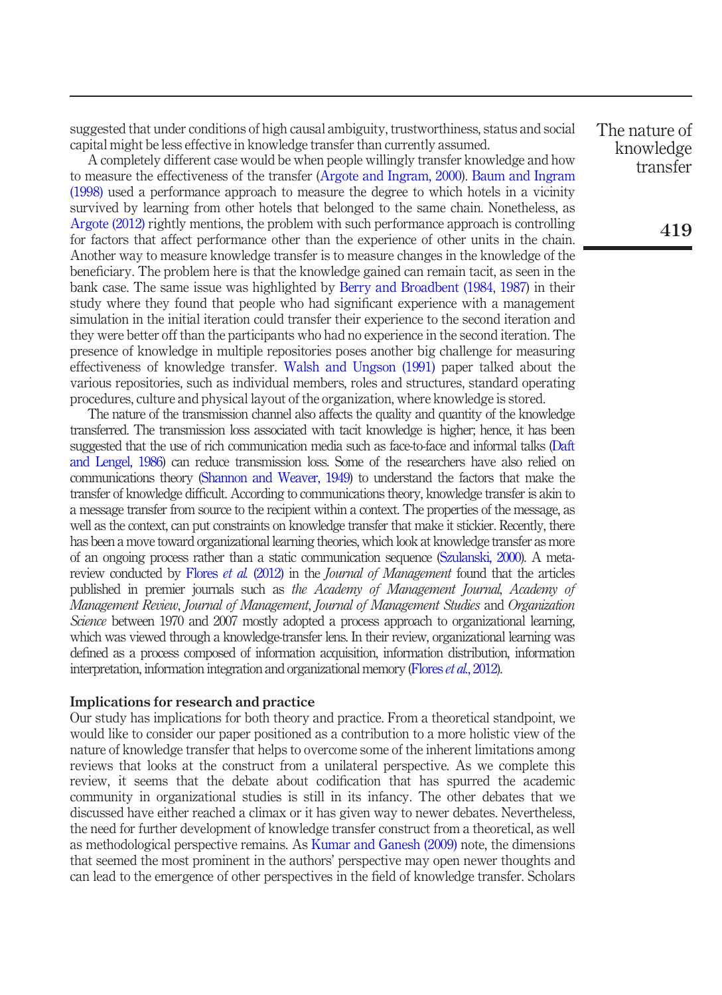suggested that under conditions of high causal ambiguity, trustworthiness, status and social capital might be less effective in knowledge transfer than currently assumed.

A completely different case would be when people willingly transfer knowledge and how to measure the effectiveness of the transfer (Argote and Ingram, 2000). Baum and Ingram (1998) used a performance approach to measure the degree to which hotels in a vicinity survived by learning from other hotels that belonged to the same chain. Nonetheless, as Argote (2012) rightly mentions, the problem with such performance approach is controlling for factors that affect performance other than the experience of other units in the chain. Another way to measure knowledge transfer is to measure changes in the knowledge of the beneficiary. The problem here is that the knowledge gained can remain tacit, as seen in the bank case. The same issue was highlighted by Berry and Broadbent (1984, 1987) in their study where they found that people who had significant experience with a management simulation in the initial iteration could transfer their experience to the second iteration and they were better off than the participants who had no experience in the second iteration. The presence of knowledge in multiple repositories poses another big challenge for measuring effectiveness of knowledge transfer. Walsh and Ungson (1991) paper talked about the various repositories, such as individual members, roles and structures, standard operating procedures, culture and physical layout of the organization, where knowledge is stored.

The nature of the transmission channel also affects the quality and quantity of the knowledge transferred. The transmission loss associated with tacit knowledge is higher; hence, it has been suggested that the use of rich communication media such as face-to-face and informal talks (Daft and Lengel, 1986) can reduce transmission loss. Some of the researchers have also relied on communications theory (Shannon and Weaver, 1949) to understand the factors that make the transfer of knowledge difficult. According to communications theory, knowledge transfer is akin to a message transfer from source to the recipient within a context. The properties of the message, as well as the context, can put constraints on knowledge transfer that make it stickier. Recently, there has been a move toward organizational learning theories, which look at knowledge transfer as more of an ongoing process rather than a static communication sequence (Szulanski, 2000). A metareview conducted by Flores *et al.* (2012) in the *Journal of Management* found that the articles published in premier journals such as *the Academy of Management Journal*, *Academy of Management Review*, *Journal of Management*, *Journal of Management Studies* and *Organization Science* between 1970 and 2007 mostly adopted a process approach to organizational learning, which was viewed through a knowledge-transfer lens. In their review, organizational learning was defined as a process composed of information acquisition, information distribution, information interpretation, information integration and organizational memory (Flores *et al.*, 2012).

#### Implications for research and practice

Our study has implications for both theory and practice. From a theoretical standpoint, we would like to consider our paper positioned as a contribution to a more holistic view of the nature of knowledge transfer that helps to overcome some of the inherent limitations among reviews that looks at the construct from a unilateral perspective. As we complete this review, it seems that the debate about codification that has spurred the academic community in organizational studies is still in its infancy. The other debates that we discussed have either reached a climax or it has given way to newer debates. Nevertheless, the need for further development of knowledge transfer construct from a theoretical, as well as methodological perspective remains. As Kumar and Ganesh (2009) note, the dimensions that seemed the most prominent in the authors' perspective may open newer thoughts and can lead to the emergence of other perspectives in the field of knowledge transfer. Scholars The nature of knowledge transfer

419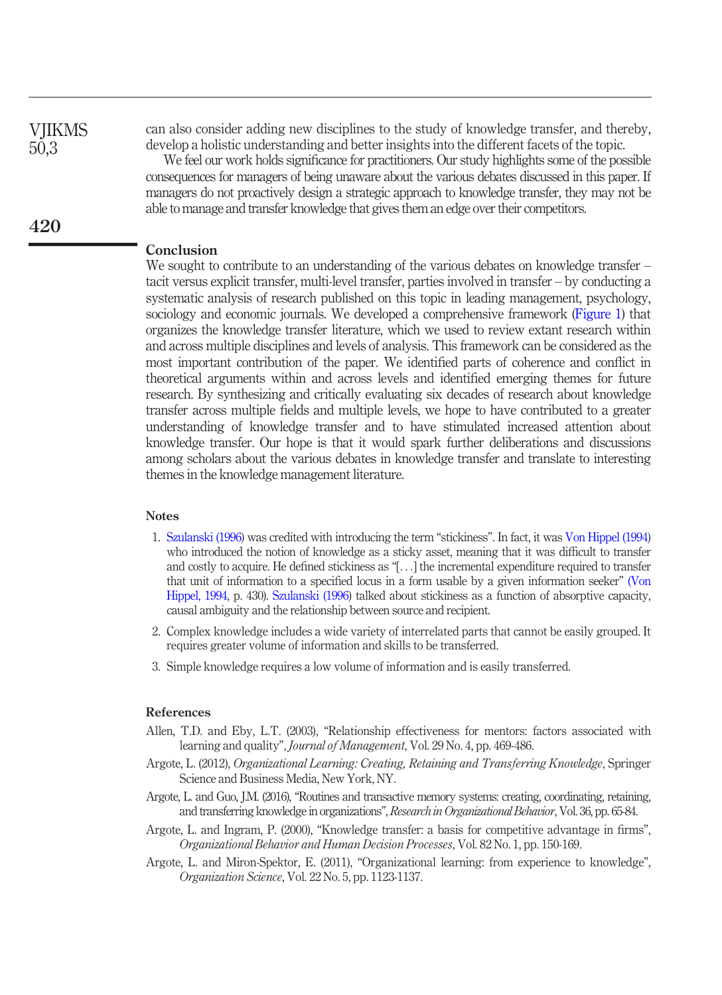**VIIKMS** 50,3

420

can also consider adding new disciplines to the study of knowledge transfer, and thereby, develop a holistic understanding and better insights into the different facets of the topic.

We feel our work holds significance for practitioners. Our study highlights some of the possible consequences for managers of being unaware about the various debates discussed in this paper. If managers do not proactively design a strategic approach to knowledge transfer, they may not be able to manage and transfer knowledge that gives them an edge over their competitors.

# **Conclusion**

We sought to contribute to an understanding of the various debates on knowledge transfer – tacit versus explicit transfer, multi-level transfer, parties involved in transfer – by conducting a systematic analysis of research published on this topic in leading management, psychology, sociology and economic journals. We developed a comprehensive framework (Figure 1) that organizes the knowledge transfer literature, which we used to review extant research within and across multiple disciplines and levels of analysis. This framework can be considered as the most important contribution of the paper. We identified parts of coherence and conflict in theoretical arguments within and across levels and identified emerging themes for future research. By synthesizing and critically evaluating six decades of research about knowledge transfer across multiple fields and multiple levels, we hope to have contributed to a greater understanding of knowledge transfer and to have stimulated increased attention about knowledge transfer. Our hope is that it would spark further deliberations and discussions among scholars about the various debates in knowledge transfer and translate to interesting themes in the knowledge management literature.

### **Notes**

- 1. Szulanski (1996) was credited with introducing the term "stickiness". In fact, it was Von Hippel (1994) who introduced the notion of knowledge as a sticky asset, meaning that it was difficult to transfer and costly to acquire. He defined stickiness as "[...] the incremental expenditure required to transfer that unit of information to a specified locus in a form usable by a given information seeker" (Von Hippel, 1994, p. 430). Szulanski (1996) talked about stickiness as a function of absorptive capacity, causal ambiguity and the relationship between source and recipient.
- 2. Complex knowledge includes a wide variety of interrelated parts that cannot be easily grouped. It requires greater volume of information and skills to be transferred.
- 3. Simple knowledge requires a low volume of information and is easily transferred.

#### References

- Allen, T.D. and Eby, L.T. (2003), "Relationship effectiveness for mentors: factors associated with learning and quality", *Journal of Management*, Vol. 29 No. 4, pp. 469-486.
- Argote, L. (2012), *Organizational Learning: Creating, Retaining and Transferring Knowledge*, Springer Science and Business Media, New York, NY.
- Argote, L. and Guo, J.M. (2016), "Routines and transactive memory systems: creating, coordinating, retaining, and transferring knowledge in organizations", *Research in Organizational Behavior*, Vol. 36, pp. 65-84.
- Argote, L. and Ingram, P. (2000), "Knowledge transfer: a basis for competitive advantage in firms", *Organizational Behavior and Human Decision Processes*, Vol. 82 No. 1, pp. 150-169.
- Argote, L. and Miron-Spektor, E. (2011), "Organizational learning: from experience to knowledge", *Organization Science*, Vol. 22 No. 5, pp. 1123-1137.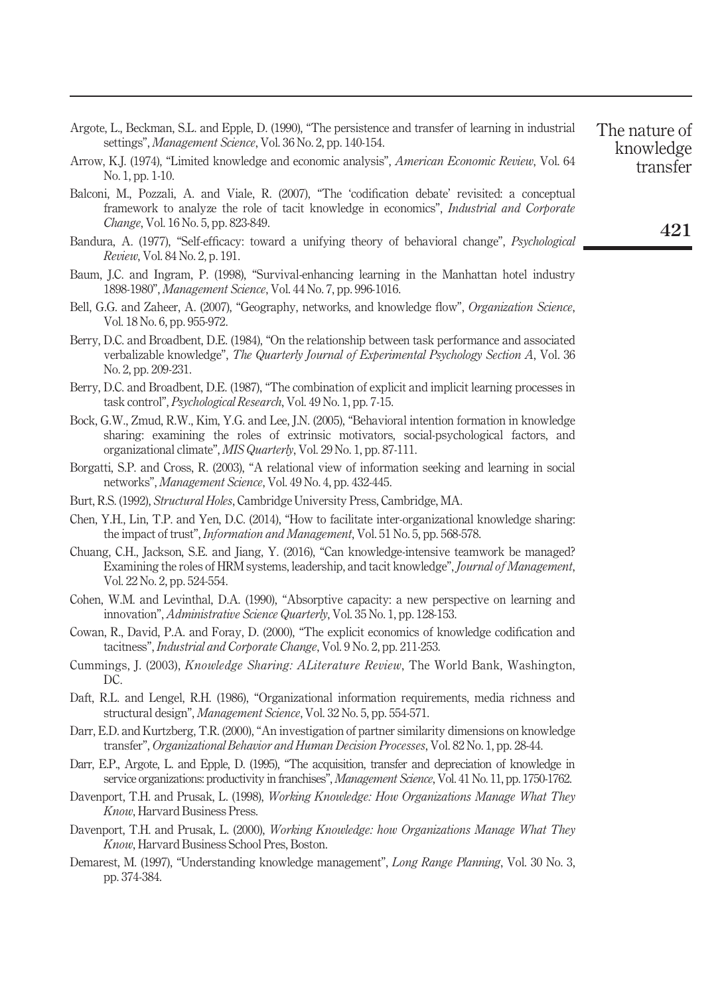| No. 1, pp. 1-10.                                                                                                                                                                                                                                                      | transier |
|-----------------------------------------------------------------------------------------------------------------------------------------------------------------------------------------------------------------------------------------------------------------------|----------|
| Balconi, M., Pozzali, A. and Viale, R. (2007), "The 'codification debate' revisited: a conceptual<br>framework to analyze the role of tacit knowledge in economics", <i>Industrial and Corporate</i><br>Change, Vol. 16 No. 5, pp. 823-849.                           | 421      |
| Bandura, A. (1977), "Self-efficacy: toward a unifying theory of behavioral change", <i>Psychological</i><br><i>Review</i> , Vol. 84 No. 2, p. 191.                                                                                                                    |          |
| Baum, J.C. and Ingram, P. (1998), "Survival-enhancing learning in the Manhattan hotel industry<br>1898-1980", Management Science, Vol. 44 No. 7, pp. 996-1016.                                                                                                        |          |
| Bell, G.G. and Zaheer, A. (2007), "Geography, networks, and knowledge flow", Organization Science,<br>Vol. 18 No. 6, pp. 955-972.                                                                                                                                     |          |
| Berry, D.C. and Broadbent, D.E. (1984), "On the relationship between task performance and associated<br>verbalizable knowledge", The Quarterly Journal of Experimental Psychology Section A, Vol. 36<br>No. 2, pp. 209-231.                                           |          |
| Berry, D.C. and Broadbent, D.E. (1987), "The combination of explicit and implicit learning processes in<br>task control", <i>Psychological Research</i> , Vol. 49 No. 1, pp. 7-15.                                                                                    |          |
| Bock, G.W., Zmud, R.W., Kim, Y.G. and Lee, J.N. (2005), "Behavioral intention formation in knowledge<br>sharing: examining the roles of extrinsic motivators, social-psychological factors, and<br>organizational climate", MIS Quarterly, Vol. 29 No. 1, pp. 87-111. |          |
| Borgatti, S.P. and Cross, R. (2003), "A relational view of information seeking and learning in social<br>networks", Management Science, Vol. 49 No. 4, pp. 432-445.                                                                                                   |          |
| Burt, R.S. (1992), Structural Holes, Cambridge University Press, Cambridge, MA.                                                                                                                                                                                       |          |
| Chen, Y.H., Lin, T.P. and Yen, D.C. (2014), "How to facilitate inter-organizational knowledge sharing:<br>the impact of trust", <i>Information and Management</i> , Vol. 51 No. 5, pp. 568-578.                                                                       |          |
| Chuang, C.H., Jackson, S.E. and Jiang, Y. (2016), "Can knowledge-intensive teamwork be managed?<br>Examining the roles of HRM systems, leadership, and tacit knowledge", Journal of Management,<br>Vol. 22 No. 2, pp. 524-554.                                        |          |
| Cohen, W.M. and Levinthal, D.A. (1990), "Absorptive capacity: a new perspective on learning and<br>innovation", Administrative Science Quarterly, Vol. 35 No. 1, pp. 128-153.                                                                                         |          |
| Cowan, R., David, P.A. and Foray, D. (2000), "The explicit economics of knowledge codification and<br>tacitness", Industrial and Corporate Change, Vol. 9 No. 2, pp. 211-253.                                                                                         |          |
| Cummings, J. (2003), <i>Knowledge Sharing: ALiterature Review</i> , The World Bank, Washington,<br>DC.                                                                                                                                                                |          |
| Daft, R.L. and Lengel, R.H. (1986), "Organizational information requirements, media richness and<br>structural design", Management Science, Vol. 32 No. 5, pp. 554-571.                                                                                               |          |
| Darr, E.D. and Kurtzberg, T.R. (2000), "An investigation of partner similarity dimensions on knowledge<br>transfer", Organizational Behavior and Human Decision Processes, Vol. 82 No. 1, pp. 28-44.                                                                  |          |
| Darr, E.P., Argote, L. and Epple, D. (1995), "The acquisition, transfer and depreciation of knowledge in<br>service organizations: productivity in franchises", Management Science, Vol. 41 No. 11, pp. 1750-1762.                                                    |          |
| Davenport, T.H. and Prusak, L. (1998), Working Knowledge: How Organizations Manage What They<br>Know, Harvard Business Press.                                                                                                                                         |          |
| Davenport, T.H. and Prusak, L. (2000), Working Knowledge: how Organizations Manage What They<br>Know, Harvard Business School Pres, Boston.                                                                                                                           |          |
| Demarest, M. (1997), "Understanding knowledge management", Long Range Planning, Vol. 30 No. 3,<br>pp. 374-384.                                                                                                                                                        |          |
|                                                                                                                                                                                                                                                                       |          |
|                                                                                                                                                                                                                                                                       |          |
|                                                                                                                                                                                                                                                                       |          |
|                                                                                                                                                                                                                                                                       |          |

Argote, L., Beckman, S.L. and Epple, D. (1990), "The persistence and transfer of learning in industrial

The nature of knowledge transfer

Arrow, K.J. (1974), "Limited knowledge and economic analysis", *American Economic Review*, Vol. 64

settings", *Management Science*, Vol. 36 No. 2, pp. 140-154.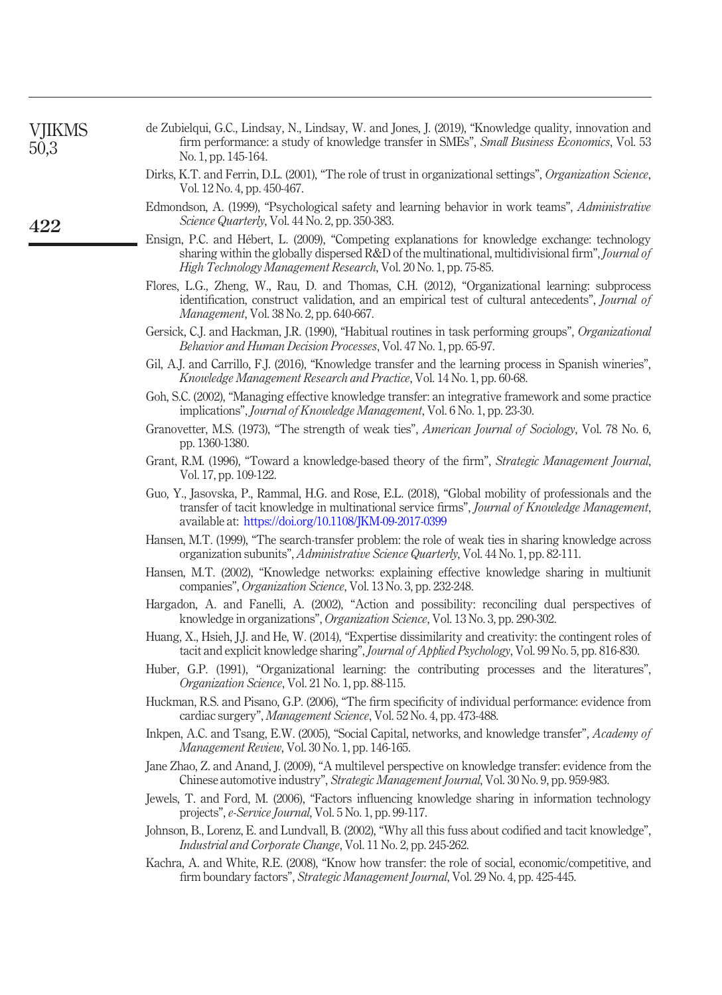| VJIKMS<br>50,3 | de Zubielqui, G.C., Lindsay, N., Lindsay, W. and Jones, J. (2019), "Knowledge quality, innovation and<br>firm performance: a study of knowledge transfer in SMEs", Small Business Economics, Vol. 53<br>No. 1, pp. 145-164.                                           |
|----------------|-----------------------------------------------------------------------------------------------------------------------------------------------------------------------------------------------------------------------------------------------------------------------|
|                | Dirks, K.T. and Ferrin, D.L. (2001), "The role of trust in organizational settings", Organization Science,<br>Vol. 12 No. 4, pp. 450-467.                                                                                                                             |
| 422            | Edmondson, A. (1999), "Psychological safety and learning behavior in work teams", Administrative<br>Science Quarterly, Vol. 44 No. 2, pp. 350-383.                                                                                                                    |
|                | Ensign, P.C. and Hébert, L. (2009), "Competing explanations for knowledge exchange: technology<br>sharing within the globally dispersed R&D of the multinational, multidivisional firm", Journal of<br>High Technology Management Research, Vol. 20 No. 1, pp. 75-85. |
|                | Flores, L.G., Zheng, W., Rau, D. and Thomas, C.H. (2012), "Organizational learning: subprocess<br>identification, construct validation, and an empirical test of cultural antecedents", Journal of<br>Management, Vol. 38 No. 2, pp. 640-667.                         |
|                | Gersick, C.J. and Hackman, J.R. (1990), "Habitual routines in task performing groups", Organizational<br>Behavior and Human Decision Processes, Vol. 47 No. 1, pp. 65-97.                                                                                             |
|                | Gil, A.J. and Carrillo, F.J. (2016), "Knowledge transfer and the learning process in Spanish wineries",<br>Knowledge Management Research and Practice, Vol. 14 No. 1, pp. 60-68.                                                                                      |
|                | Goh, S.C. (2002), "Managing effective knowledge transfer: an integrative framework and some practice<br>implications", Journal of Knowledge Management, Vol. 6 No. 1, pp. 23-30.                                                                                      |
|                | Granovetter, M.S. (1973), "The strength of weak ties", American Journal of Sociology, Vol. 78 No. 6,<br>pp. 1360-1380.                                                                                                                                                |
|                | Grant, R.M. (1996), "Toward a knowledge-based theory of the firm", <i>Strategic Management Journal</i> ,<br>Vol. 17, pp. 109-122.                                                                                                                                     |
|                | Guo, Y., Jasovska, P., Rammal, H.G. and Rose, E.L. (2018), "Global mobility of professionals and the<br>transfer of tacit knowledge in multinational service firms", Journal of Knowledge Management,<br>available at: https://doi.org/10.1108/JKM-09-2017-0399       |
|                | Hansen, M.T. (1999), "The search-transfer problem: the role of weak ties in sharing knowledge across<br>organization subunits", <i>Administrative Science Quarterly</i> , Vol. 44 No. 1, pp. 82-111.                                                                  |
|                | Hansen, M.T. (2002), "Knowledge networks: explaining effective knowledge sharing in multiunit<br>companies", Organization Science, Vol. 13 No. 3, pp. 232-248.                                                                                                        |
|                | Hargadon, A. and Fanelli, A. (2002), "Action and possibility: reconciling dual perspectives of<br>knowledge in organizations", Organization Science, Vol. 13 No. 3, pp. 290-302.                                                                                      |
|                | Huang, X., Hsieh, J.J. and He, W. (2014), "Expertise dissimilarity and creativity: the contingent roles of<br>tacit and explicit knowledge sharing", Journal of Applied Psychology, Vol. 99 No. 5, pp. 816-830.                                                       |
|                | Huber, G.P. (1991), "Organizational learning: the contributing processes and the literatures",<br>Organization Science, Vol. 21 No. 1, pp. 88-115.                                                                                                                    |
|                | Huckman, R.S. and Pisano, G.P. (2006), "The firm specificity of individual performance: evidence from<br>cardiac surgery", Management Science, Vol. 52 No. 4, pp. 473-488.                                                                                            |
|                | Inkpen, A.C. and Tsang, E.W. (2005), "Social Capital, networks, and knowledge transfer", Academy of<br>Management Review, Vol. 30 No. 1, pp. 146-165.                                                                                                                 |
|                | Jane Zhao, Z. and Anand, J. (2009), "A multilevel perspective on knowledge transfer: evidence from the<br>Chinese automotive industry", Strategic Management Journal, Vol. 30 No. 9, pp. 959-983.                                                                     |
|                | Jewels, T. and Ford, M. (2006), "Factors influencing knowledge sharing in information technology<br>projects", e-Service Journal, Vol. 5 No. 1, pp. 99-117.                                                                                                           |
|                | Johnson, B., Lorenz, E. and Lundvall, B. (2002), "Why all this fuss about codified and tacit knowledge",<br>Industrial and Corporate Change, Vol. 11 No. 2, pp. 245-262.                                                                                              |
|                | Kachra, A. and White, R.E. (2008), "Know how transfer: the role of social, economic/competitive, and<br>firm boundary factors", Strategic Management Journal, Vol. 29 No. 4, pp. 425-445.                                                                             |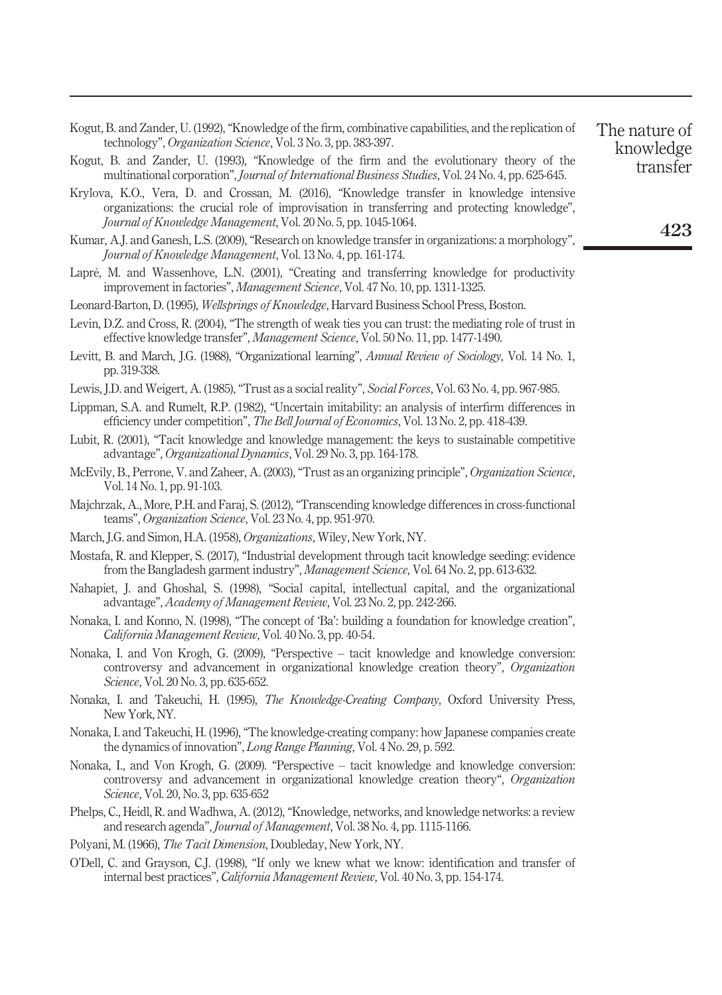| Kogut, B. and Zander, U. (1992), "Knowledge of the firm, combinative capabilities, and the replication of | The nature of |
|-----------------------------------------------------------------------------------------------------------|---------------|
| technology", <i>Organization Science</i> , Vol. 3 No. 3, pp. 383-397.                                     | knowledge     |

- Kogut, B. and Zander, U. (1993), "Knowledge of the firm and the evolutionary theory of the multinational corporation", *Journal of International Business Studies*, Vol. 24 No. 4, pp. 625-645.
- Krylova, K.O., Vera, D. and Crossan, M. (2016), "Knowledge transfer in knowledge intensive organizations: the crucial role of improvisation in transferring and protecting knowledge", *Journal of Knowledge Management*, Vol. 20 No. 5, pp. 1045-1064.
- Kumar, A.J. and Ganesh, L.S. (2009), "Research on knowledge transfer in organizations: a morphology", *Journal of Knowledge Management*, Vol. 13 No. 4, pp. 161-174.
- Lapré, M. and Wassenhove, L.N. (2001), "Creating and transferring knowledge for productivity improvement in factories", *Management Science*, Vol. 47 No. 10, pp. 1311-1325.
- Leonard-Barton, D. (1995), *Wellsprings of Knowledge*, Harvard Business School Press, Boston.
- Levin, D.Z. and Cross, R. (2004), "The strength of weak ties you can trust: the mediating role of trust in effective knowledge transfer", *Management Science*, Vol. 50 No. 11, pp. 1477-1490.
- Levitt, B. and March, J.G. (1988), "Organizational learning", *Annual Review of Sociology*, Vol. 14 No. 1, pp. 319-338.
- Lewis, J.D. and Weigert, A. (1985),"Trust as a social reality", *Social Forces*, Vol. 63 No. 4, pp. 967-985.
- Lippman, S.A. and Rumelt, R.P. (1982), "Uncertain imitability: an analysis of interfirm differences in efficiency under competition", *The Bell Journal of Economics*, Vol. 13 No. 2, pp. 418-439.
- Lubit, R. (2001), "Tacit knowledge and knowledge management: the keys to sustainable competitive advantage", *Organizational Dynamics*, Vol. 29 No. 3, pp. 164-178.
- McEvily, B., Perrone, V. and Zaheer, A. (2003), "Trust as an organizing principle", *Organization Science*, Vol. 14 No. 1, pp. 91-103.
- Majchrzak, A., More, P.H. and Faraj, S. (2012), "Transcending knowledge differences in cross-functional teams", *Organization Science*, Vol. 23 No. 4, pp. 951-970.
- March, J.G. and Simon, H.A. (1958), *Organizations*, Wiley, New York, NY.
- Mostafa, R. and Klepper, S. (2017), "Industrial development through tacit knowledge seeding: evidence from the Bangladesh garment industry", *Management Science*, Vol. 64 No. 2, pp. 613-632.
- Nahapiet, J. and Ghoshal, S. (1998), "Social capital, intellectual capital, and the organizational advantage", *Academy of Management Review*, Vol. 23 No. 2, pp. 242-266.
- Nonaka, I. and Konno, N. (1998), "The concept of 'Ba': building a foundation for knowledge creation", *California Management Review*, Vol. 40 No. 3, pp. 40-54.
- Nonaka, I. and Von Krogh, G. (2009), "Perspective tacit knowledge and knowledge conversion: controversy and advancement in organizational knowledge creation theory", *Organization Science*, Vol. 20 No. 3, pp. 635-652.
- Nonaka, I. and Takeuchi, H. (1995), *The Knowledge-Creating Company*, Oxford University Press, New York, NY.
- Nonaka, I. and Takeuchi, H. (1996), "The knowledge-creating company: how Japanese companies create the dynamics of innovation", *Long Range Planning*, Vol. 4 No. 29, p. 592.
- Nonaka, I., and Von Krogh, G. (2009). "Perspective tacit knowledge and knowledge conversion: controversy and advancement in organizational knowledge creation theory", *Organization Science*, Vol. 20, No. 3, pp. 635-652
- Phelps, C., Heidl, R. and Wadhwa, A. (2012), "Knowledge, networks, and knowledge networks: a review and research agenda", *Journal of Management*, Vol. 38 No. 4, pp. 1115-1166.
- Polyani, M. (1966), *The Tacit Dimension*, Doubleday, New York, NY.
- O'Dell, C. and Grayson, C.J. (1998), "If only we knew what we know: identification and transfer of internal best practices", *California Management Review*, Vol. 40 No. 3, pp. 154-174.

423

knowledge transfer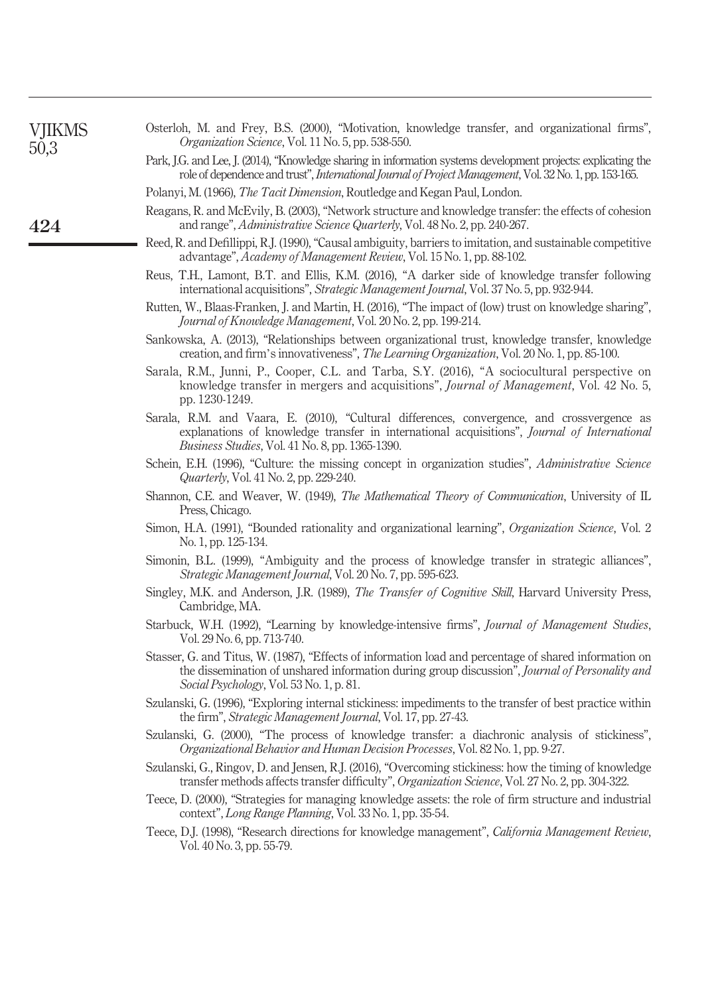| <b>VJIKMS</b><br>50,3 | Osterloh, M. and Frey, B.S. (2000), "Motivation, knowledge transfer, and organizational firms",<br><i>Organization Science, Vol. 11 No. 5, pp. 538-550.</i>                                                                                          |
|-----------------------|------------------------------------------------------------------------------------------------------------------------------------------------------------------------------------------------------------------------------------------------------|
|                       | Park, J.G. and Lee, J. (2014), "Knowledge sharing in information systems development projects: explicating the<br>role of dependence and trust", <i>International Journal of Project Management</i> , Vol. 32 No. 1, pp. 153-165.                    |
|                       | Polanyi, M. (1966), <i>The Tacit Dimension</i> , Routledge and Kegan Paul, London.                                                                                                                                                                   |
| 424                   | Reagans, R. and McEvily, B. (2003), "Network structure and knowledge transfer: the effects of cohesion<br>and range", <i>Administrative Science Quarterly</i> , Vol. 48 No. 2, pp. 240-267.                                                          |
|                       | Reed, R. and Defillippi, R.J. (1990), "Causal ambiguity, barriers to imitation, and sustainable competitive<br>advantage", Academy of Management Review, Vol. 15 No. 1, pp. 88-102.                                                                  |
|                       | Reus, T.H., Lamont, B.T. and Ellis, K.M. (2016), "A darker side of knowledge transfer following<br>international acquisitions", Strategic Management Journal, Vol. 37 No. 5, pp. 932-944.                                                            |
|                       | Rutten, W., Blaas-Franken, J. and Martin, H. (2016), "The impact of (low) trust on knowledge sharing",<br>Journal of Knowledge Management, Vol. 20 No. 2, pp. 199-214.                                                                               |
|                       | Sankowska, A. (2013), "Relationships between organizational trust, knowledge transfer, knowledge<br>creation, and firm's innovativeness", The Learning Organization, Vol. 20 No. 1, pp. 85-100.                                                      |
|                       | Sarala, R.M., Junni, P., Cooper, C.L. and Tarba, S.Y. (2016), "A sociocultural perspective on<br>knowledge transfer in mergers and acquisitions", <i>Journal of Management</i> , Vol. 42 No. 5,<br>pp. 1230-1249.                                    |
|                       | Sarala, R.M. and Vaara, E. (2010), "Cultural differences, convergence, and crossvergence as<br>explanations of knowledge transfer in international acquisitions", Journal of International<br><i>Business Studies, Vol. 41 No. 8, pp. 1365-1390.</i> |
|                       | Schein, E.H. (1996), "Culture: the missing concept in organization studies", Administrative Science<br><i>Quarterly</i> , Vol. 41 No. 2, pp. 229-240.                                                                                                |
|                       | Shannon, C.E. and Weaver, W. (1949), The Mathematical Theory of Communication, University of IL<br>Press, Chicago.                                                                                                                                   |
|                       | Simon, H.A. (1991), "Bounded rationality and organizational learning", Organization Science, Vol. 2<br>No. 1, pp. 125-134.                                                                                                                           |
|                       | Simonin, B.L. (1999), "Ambiguity and the process of knowledge transfer in strategic alliances",<br>Strategic Management Journal, Vol. 20 No. 7, pp. 595-623.                                                                                         |
|                       | Singley, M.K. and Anderson, J.R. (1989), The Transfer of Cognitive Skill, Harvard University Press,<br>Cambridge, MA.                                                                                                                                |
|                       | Starbuck, W.H. (1992), "Learning by knowledge-intensive firms", Journal of Management Studies,<br>Vol. 29 No. 6, pp. 713-740.                                                                                                                        |
|                       | Stasser, G. and Titus, W. (1987), "Effects of information load and percentage of shared information on<br>the dissemination of unshared information during group discussion", Journal of Personality and<br>Social Psychology, Vol. 53 No. 1, p. 81. |
|                       | Szulanski, G. (1996), "Exploring internal stickiness: impediments to the transfer of best practice within<br>the firm", Strategic Management Journal, Vol. 17, pp. 27-43.                                                                            |
|                       | Szulanski, G. (2000), "The process of knowledge transfer: a diachronic analysis of stickiness",<br>Organizational Behavior and Human Decision Processes, Vol. 82 No. 1, pp. 9-27.                                                                    |
|                       | Szulanski, G., Ringov, D. and Jensen, R.J. (2016), "Overcoming stickiness: how the timing of knowledge<br>transfer methods affects transfer difficulty", Organization Science, Vol. 27 No. 2, pp. 304-322.                                           |
|                       | Teece, D. (2000), "Strategies for managing knowledge assets: the role of firm structure and industrial<br>context", Long Range Planning, Vol. 33 No. 1, pp. 35-54.                                                                                   |
|                       | Teece, D.J. (1998), "Research directions for knowledge management", California Management Review,<br>Vol. 40 No. 3, pp. 55-79.                                                                                                                       |
|                       |                                                                                                                                                                                                                                                      |